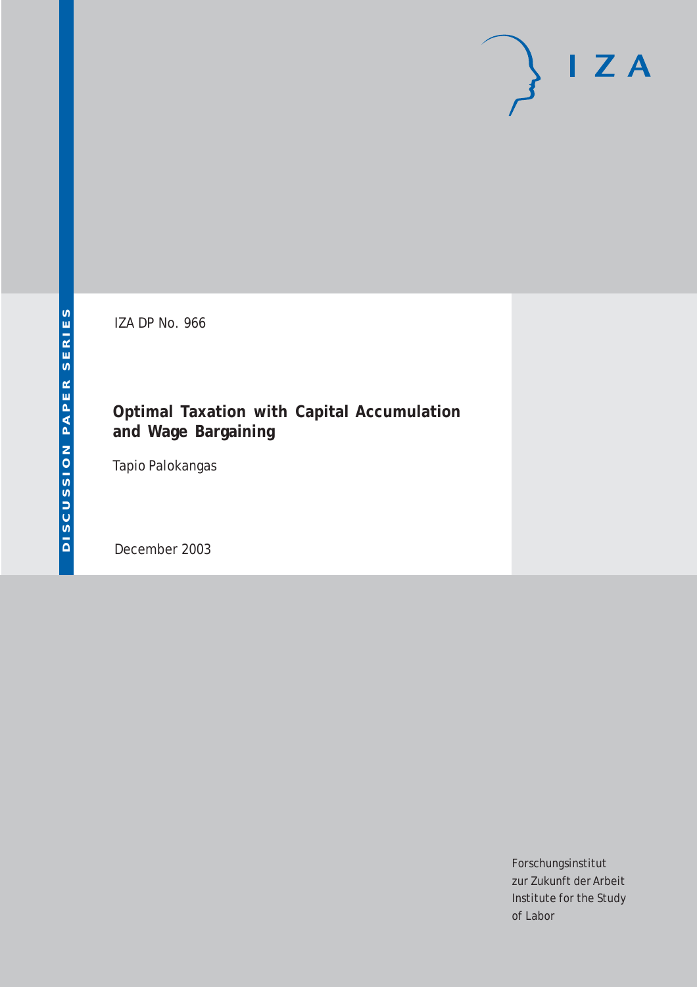# $I Z A$

IZA DP No. 966

#### **Optimal Taxation with Capital Accumulation and Wage Bargaining**

Tapio Palokangas

December 2003

Forschungsinstitut zur Zukunft der Arbeit Institute for the Study of Labor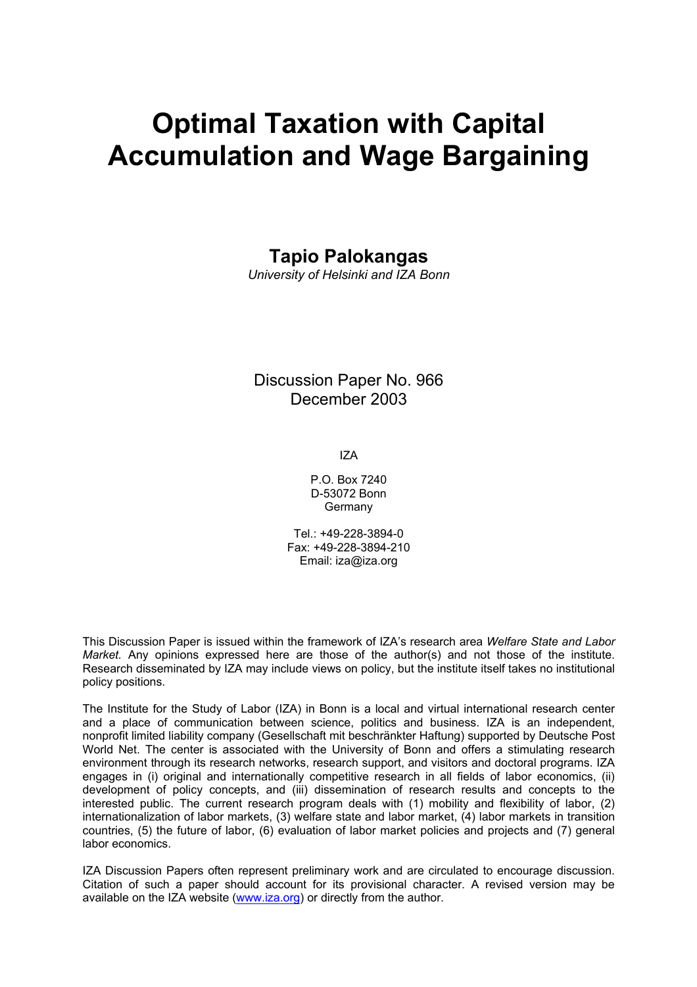## **Optimal Taxation with Capital Accumulation and Wage Bargaining**

#### **Tapio Palokangas**

*University of Helsinki and IZA Bonn* 

#### Discussion Paper No. 966 December 2003

IZA

P.O. Box 7240 D-53072 Bonn Germany

Tel.: +49-228-3894-0 Fax: +49-228-3894-210 Email: [iza@iza.org](mailto:iza@iza.org)

This Discussion Paper is issued within the framework of IZA's research area *Welfare State and Labor Market.* Any opinions expressed here are those of the author(s) and not those of the institute. Research disseminated by IZA may include views on policy, but the institute itself takes no institutional policy positions.

The Institute for the Study of Labor (IZA) in Bonn is a local and virtual international research center and a place of communication between science, politics and business. IZA is an independent, nonprofit limited liability company (Gesellschaft mit beschränkter Haftung) supported by Deutsche Post World Net. The center is associated with the University of Bonn and offers a stimulating research environment through its research networks, research support, and visitors and doctoral programs. IZA engages in (i) original and internationally competitive research in all fields of labor economics, (ii) development of policy concepts, and (iii) dissemination of research results and concepts to the interested public. The current research program deals with (1) mobility and flexibility of labor, (2) internationalization of labor markets, (3) welfare state and labor market, (4) labor markets in transition countries, (5) the future of labor, (6) evaluation of labor market policies and projects and (7) general labor economics.

IZA Discussion Papers often represent preliminary work and are circulated to encourage discussion. Citation of such a paper should account for its provisional character. A revised version may be available on the IZA website ([www.iza.org](http://www.iza.org/)) or directly from the author.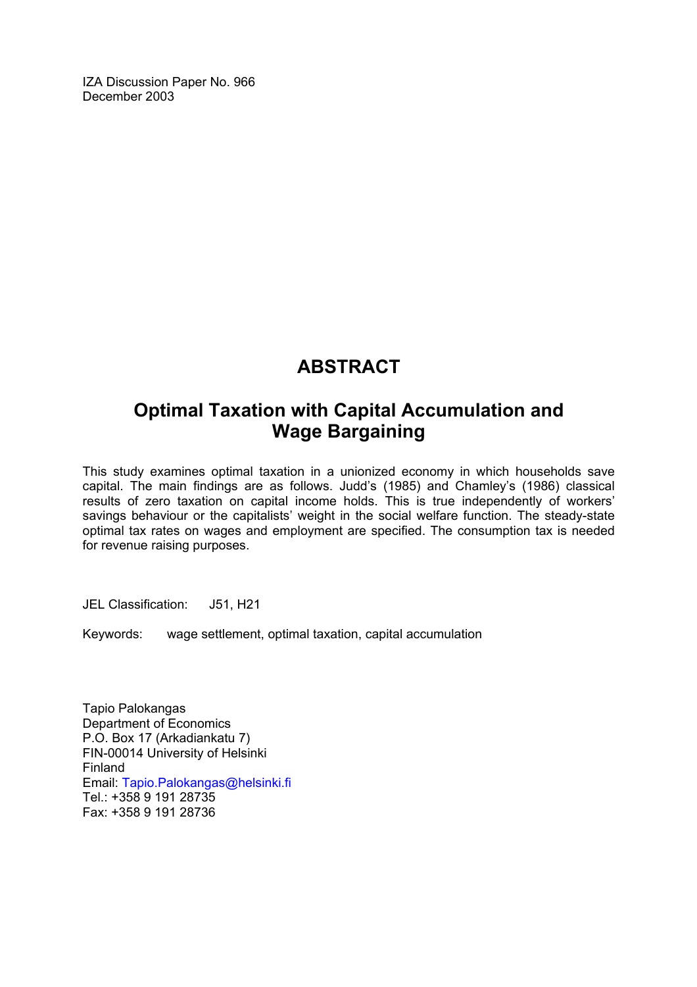IZA Discussion Paper No. 966 December 2003

#### **ABSTRACT**

#### **Optimal Taxation with Capital Accumulation and Wage Bargaining**

This study examines optimal taxation in a unionized economy in which households save capital. The main findings are as follows. Judd's (1985) and Chamley's (1986) classical results of zero taxation on capital income holds. This is true independently of workers' savings behaviour or the capitalists' weight in the social welfare function. The steady-state optimal tax rates on wages and employment are specified. The consumption tax is needed for revenue raising purposes.

JEL Classification: J51, H21

Keywords: wage settlement, optimal taxation, capital accumulation

Tapio Palokangas Department of Economics P.O. Box 17 (Arkadiankatu 7) FIN-00014 University of Helsinki Finland Email: [Tapio.Palokangas@helsinki.fi](mailto:Tapio.Palokangas@helsinki.fi)  Tel.: +358 9 191 28735 Fax: +358 9 191 28736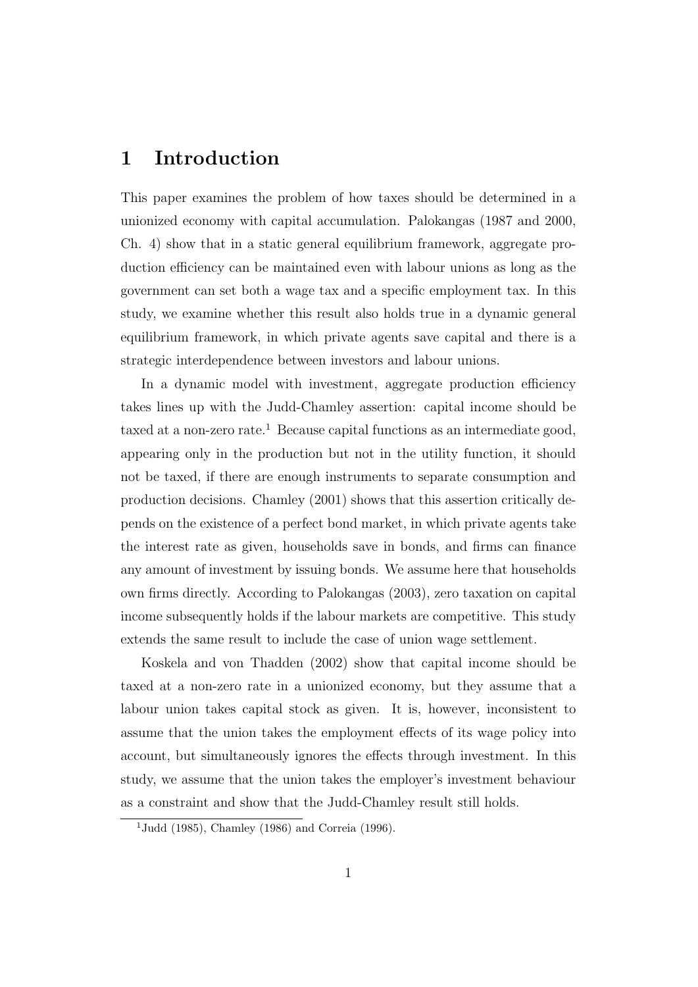#### 1 Introduction

This paper examines the problem of how taxes should be determined in a unionized economy with capital accumulation. Palokangas (1987 and 2000, Ch. 4) show that in a static general equilibrium framework, aggregate production efficiency can be maintained even with labour unions as long as the government can set both a wage tax and a specific employment tax. In this study, we examine whether this result also holds true in a dynamic general equilibrium framework, in which private agents save capital and there is a strategic interdependence between investors and labour unions.

In a dynamic model with investment, aggregate production efficiency takes lines up with the Judd-Chamley assertion: capital income should be taxed at a non-zero rate.<sup>1</sup> Because capital functions as an intermediate good, appearing only in the production but not in the utility function, it should not be taxed, if there are enough instruments to separate consumption and production decisions. Chamley (2001) shows that this assertion critically depends on the existence of a perfect bond market, in which private agents take the interest rate as given, households save in bonds, and firms can finance any amount of investment by issuing bonds. We assume here that households own firms directly. According to Palokangas (2003), zero taxation on capital income subsequently holds if the labour markets are competitive. This study extends the same result to include the case of union wage settlement.

Koskela and von Thadden (2002) show that capital income should be taxed at a non-zero rate in a unionized economy, but they assume that a labour union takes capital stock as given. It is, however, inconsistent to assume that the union takes the employment effects of its wage policy into account, but simultaneously ignores the effects through investment. In this study, we assume that the union takes the employer's investment behaviour as a constraint and show that the Judd-Chamley result still holds.

<sup>&</sup>lt;sup>1</sup>Judd (1985), Chamley (1986) and Correia (1996).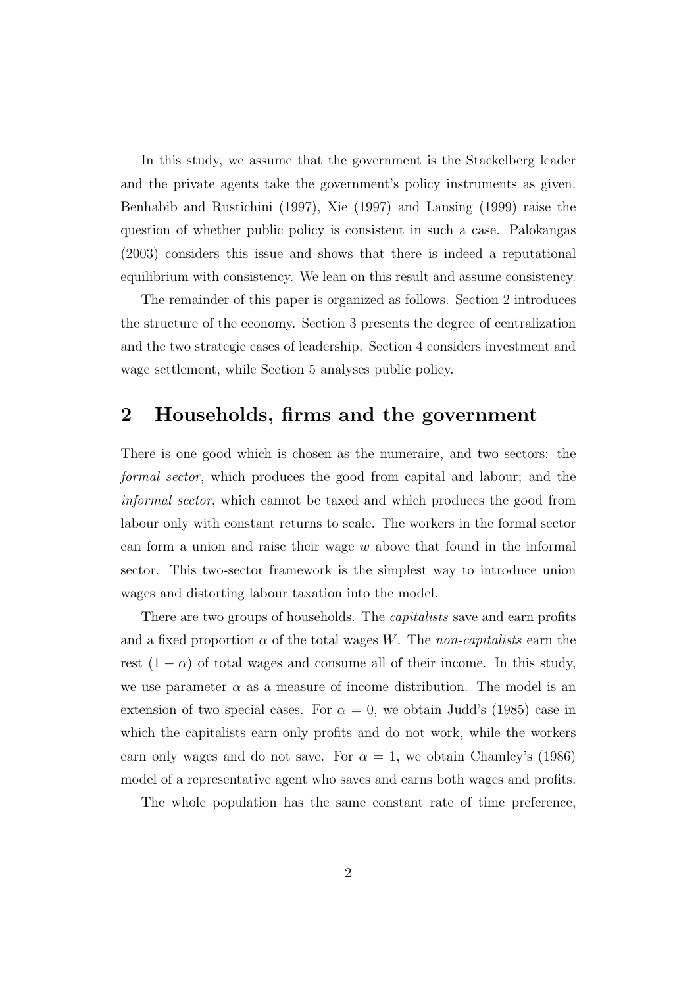In this study, we assume that the government is the Stackelberg leader and the private agents take the government's policy instruments as given. Benhabib and Rustichini (1997), Xie (1997) and Lansing (1999) raise the question of whether public policy is consistent in such a case. Palokangas (2003) considers this issue and shows that there is indeed a reputational equilibrium with consistency. We lean on this result and assume consistency.

The remainder of this paper is organized as follows. Section 2 introduces the structure of the economy. Section 3 presents the degree of centralization and the two strategic cases of leadership. Section 4 considers investment and wage settlement, while Section 5 analyses public policy.

#### 2 Households, firms and the government

There is one good which is chosen as the numeraire, and two sectors: the formal sector, which produces the good from capital and labour; and the informal sector, which cannot be taxed and which produces the good from labour only with constant returns to scale. The workers in the formal sector can form a union and raise their wage  $w$  above that found in the informal sector. This two-sector framework is the simplest way to introduce union wages and distorting labour taxation into the model.

There are two groups of households. The *capitalists* save and earn profits and a fixed proportion  $\alpha$  of the total wages W. The non-capitalists earn the rest  $(1 - \alpha)$  of total wages and consume all of their income. In this study, we use parameter  $\alpha$  as a measure of income distribution. The model is an extension of two special cases. For  $\alpha = 0$ , we obtain Judd's (1985) case in which the capitalists earn only profits and do not work, while the workers earn only wages and do not save. For  $\alpha = 1$ , we obtain Chamley's (1986) model of a representative agent who saves and earns both wages and profits.

The whole population has the same constant rate of time preference,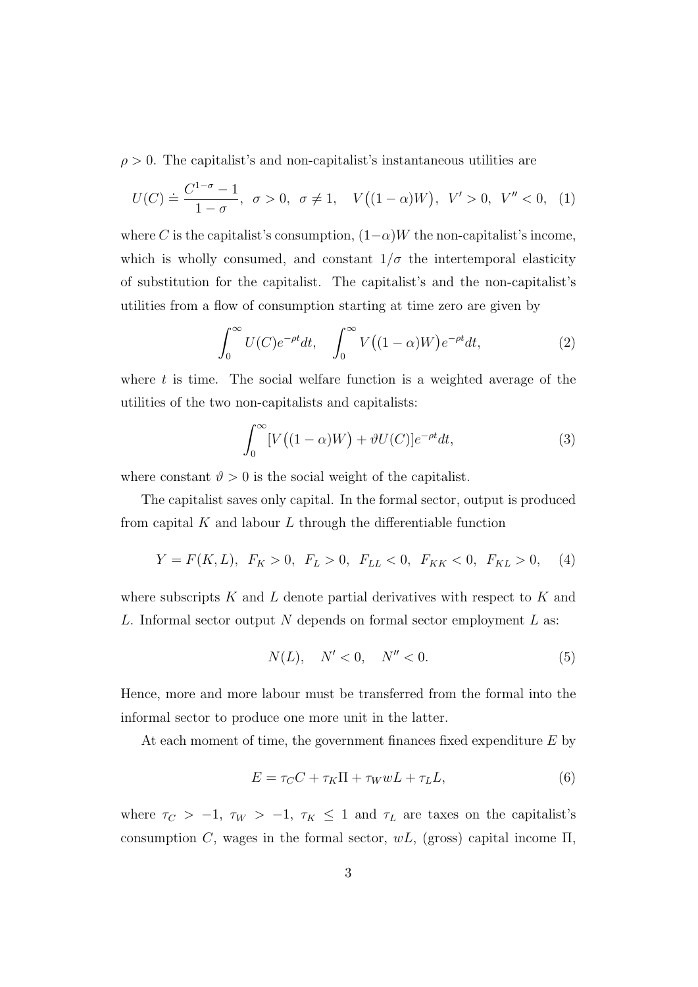$\rho > 0$ . The capitalist's and non-capitalist's instantaneous utilities are

$$
U(C) \doteq \frac{C^{1-\sigma}-1}{1-\sigma}, \ \sigma > 0, \ \sigma \neq 1, \quad V((1-\alpha)W), \ V' > 0, \ V'' < 0, \ (1)
$$

where C is the capitalist's consumption,  $(1-\alpha)W$  the non-capitalist's income, which is wholly consumed, and constant  $1/\sigma$  the intertemporal elasticity of substitution for the capitalist. The capitalist's and the non-capitalist's utilities from a flow of consumption starting at time zero are given by

$$
\int_0^\infty U(C)e^{-\rho t}dt, \quad \int_0^\infty V((1-\alpha)W)e^{-\rho t}dt,\tag{2}
$$

where  $t$  is time. The social welfare function is a weighted average of the utilities of the two non-capitalists and capitalists:

$$
\int_0^\infty [V((1-\alpha)W) + \vartheta U(C)]e^{-\rho t}dt,\tag{3}
$$

where constant  $\vartheta > 0$  is the social weight of the capitalist.

The capitalist saves only capital. In the formal sector, output is produced from capital  $K$  and labour  $L$  through the differentiable function

$$
Y = F(K, L), F_K > 0, F_L > 0, F_{LL} < 0, F_{KK} < 0, F_{KL} > 0,
$$
 (4)

where subscripts K and L denote partial derivatives with respect to K and L. Informal sector output N depends on formal sector employment  $L$  as:

$$
N(L), \quad N' < 0, \quad N'' < 0. \tag{5}
$$

Hence, more and more labour must be transferred from the formal into the informal sector to produce one more unit in the latter.

At each moment of time, the government finances fixed expenditure  $E$  by

$$
E = \tau_C C + \tau_K \Pi + \tau_W w L + \tau_L L,\tag{6}
$$

where  $\tau_C > -1$ ,  $\tau_W > -1$ ,  $\tau_K \le 1$  and  $\tau_L$  are taxes on the capitalist's consumption C, wages in the formal sector,  $wL$ , (gross) capital income  $\Pi$ ,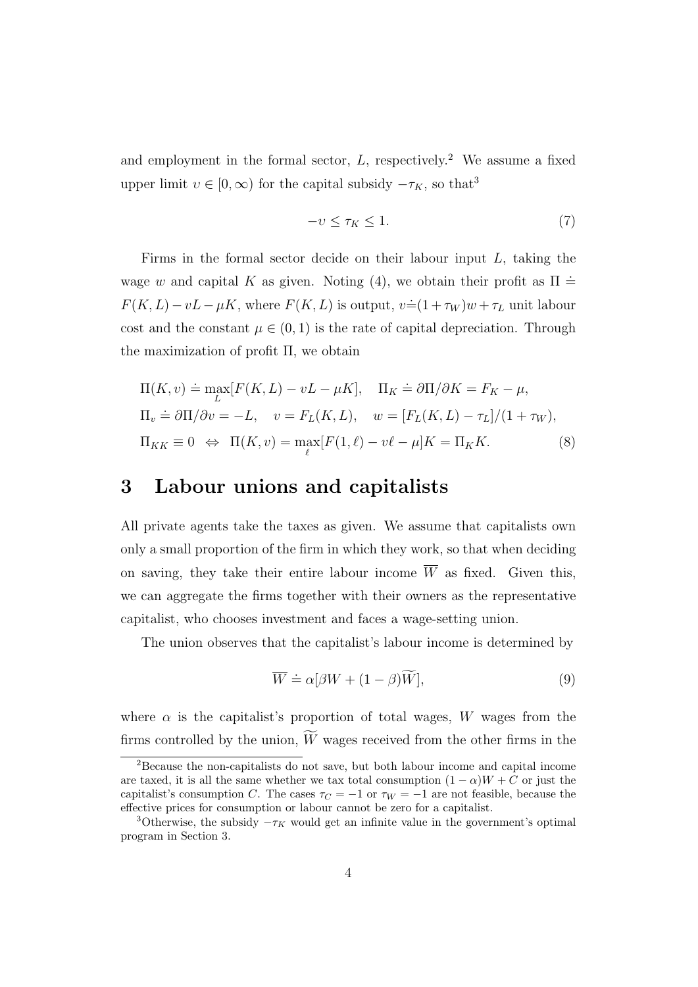and employment in the formal sector,  $L$ , respectively.<sup>2</sup> We assume a fixed upper limit  $v \in [0, \infty)$  for the capital subsidy  $-\tau_K$ , so that<sup>3</sup>

$$
-v \le \tau_K \le 1. \tag{7}
$$

Firms in the formal sector decide on their labour input  $L$ , taking the wage w and capital K as given. Noting (4), we obtain their profit as  $\Pi =$  $F(K, L) - vL - \mu K$ , where  $F(K, L)$  is output,  $v = (1 + \tau_W)w + \tau_L$  unit labour cost and the constant  $\mu \in (0,1)$  is the rate of capital depreciation. Through the maximization of profit Π, we obtain

$$
\Pi(K, v) \doteq \max_{L} [F(K, L) - vL - \mu K], \quad \Pi_K \doteq \partial \Pi / \partial K = F_K - \mu,
$$
  
\n
$$
\Pi_v \doteq \partial \Pi / \partial v = -L, \quad v = F_L(K, L), \quad w = [F_L(K, L) - \tau_L] / (1 + \tau_W),
$$
  
\n
$$
\Pi_{KK} \equiv 0 \iff \Pi(K, v) = \max_{\ell} [F(1, \ell) - v\ell - \mu] K = \Pi_K K.
$$
\n(8)

#### 3 Labour unions and capitalists

All private agents take the taxes as given. We assume that capitalists own only a small proportion of the firm in which they work, so that when deciding on saving, they take their entire labour income  $\overline{W}$  as fixed. Given this, we can aggregate the firms together with their owners as the representative capitalist, who chooses investment and faces a wage-setting union.

The union observes that the capitalist's labour income is determined by

$$
\overline{W} \doteq \alpha[\beta W + (1 - \beta)\widetilde{W}], \tag{9}
$$

where  $\alpha$  is the capitalist's proportion of total wages, W wages from the firms controlled by the union,  $\widetilde{W}$  wages received from the other firms in the

<sup>2</sup>Because the non-capitalists do not save, but both labour income and capital income are taxed, it is all the same whether we tax total consumption  $(1 - \alpha)W + C$  or just the capitalist's consumption C. The cases  $\tau_C = -1$  or  $\tau_W = -1$  are not feasible, because the effective prices for consumption or labour cannot be zero for a capitalist.

<sup>&</sup>lt;sup>3</sup>Otherwise, the subsidy  $-\tau_K$  would get an infinite value in the government's optimal program in Section 3.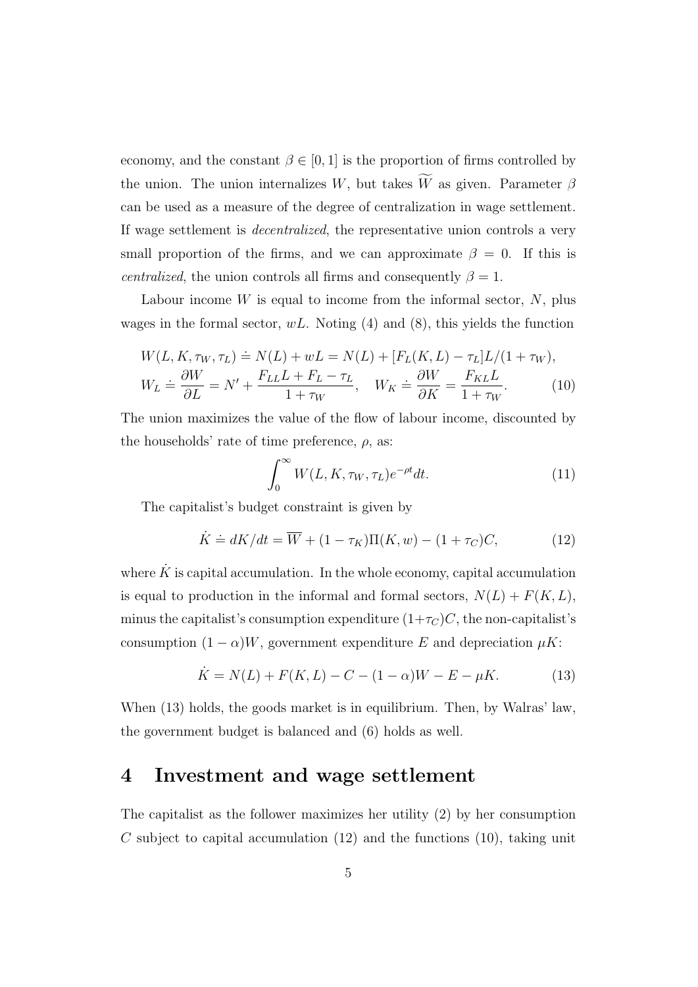economy, and the constant  $\beta \in [0, 1]$  is the proportion of firms controlled by the union. The union internalizes W, but takes  $\widetilde{W}$  as given. Parameter  $\beta$ can be used as a measure of the degree of centralization in wage settlement. If wage settlement is decentralized, the representative union controls a very small proportion of the firms, and we can approximate  $\beta = 0$ . If this is *centralized*, the union controls all firms and consequently  $\beta = 1$ .

Labour income  $W$  is equal to income from the informal sector,  $N$ , plus wages in the formal sector,  $wL$ . Noting (4) and (8), this yields the function

$$
W(L, K, \tau_W, \tau_L) \doteq N(L) + wL = N(L) + [F_L(K, L) - \tau_L]L/(1 + \tau_W),
$$
  
\n
$$
W_L \doteq \frac{\partial W}{\partial L} = N' + \frac{F_{LL}L + F_L - \tau_L}{1 + \tau_W}, \quad W_K \doteq \frac{\partial W}{\partial K} = \frac{F_{KL}L}{1 + \tau_W}.
$$
 (10)

The union maximizes the value of the flow of labour income, discounted by the households' rate of time preference,  $\rho$ , as:

$$
\int_0^\infty W(L, K, \tau_W, \tau_L) e^{-\rho t} dt.
$$
\n(11)

The capitalist's budget constraint is given by

$$
\dot{K} \doteq dK/dt = \overline{W} + (1 - \tau_K)\Pi(K, w) - (1 + \tau_C)C,\tag{12}
$$

where  $\dot{K}$  is capital accumulation. In the whole economy, capital accumulation is equal to production in the informal and formal sectors,  $N(L) + F(K, L)$ , minus the capitalist's consumption expenditure  $(1+\tau_C)C$ , the non-capitalist's consumption  $(1 - \alpha)W$ , government expenditure E and depreciation  $\mu K$ :

$$
\dot{K} = N(L) + F(K, L) - C - (1 - \alpha)W - E - \mu K.
$$
 (13)

When (13) holds, the goods market is in equilibrium. Then, by Walras' law, the government budget is balanced and (6) holds as well.

#### 4 Investment and wage settlement

The capitalist as the follower maximizes her utility (2) by her consumption C subject to capital accumulation  $(12)$  and the functions  $(10)$ , taking unit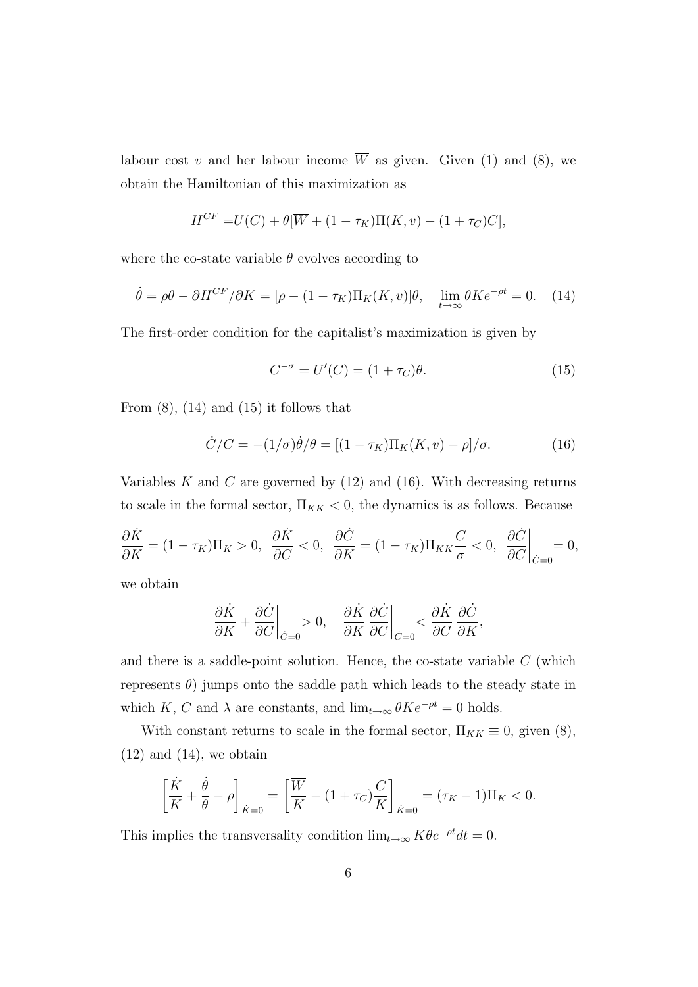labour cost v and her labour income  $\overline{W}$  as given. Given (1) and (8), we obtain the Hamiltonian of this maximization as

$$
H^{CF} = U(C) + \theta[\overline{W} + (1 - \tau_K)\Pi(K, v) - (1 + \tau_C)C],
$$

where the co-state variable  $\theta$  evolves according to

$$
\dot{\theta} = \rho \theta - \partial H^{CF} / \partial K = [\rho - (1 - \tau_K) \Pi_K(K, v)] \theta, \quad \lim_{t \to \infty} \theta K e^{-\rho t} = 0. \tag{14}
$$

The first-order condition for the capitalist's maximization is given by

$$
C^{-\sigma} = U'(C) = (1 + \tau_C)\theta.
$$
\n
$$
(15)
$$

From  $(8)$ ,  $(14)$  and  $(15)$  it follows that

$$
\dot{C}/C = -(1/\sigma)\dot{\theta}/\theta = [(1 - \tau_K)\Pi_K(K, v) - \rho]/\sigma.
$$
 (16)

Variables K and C are governed by  $(12)$  and  $(16)$ . With decreasing returns to scale in the formal sector,  $\Pi_{KK}$  < 0, the dynamics is as follows. Because

$$
\frac{\partial \dot{K}}{\partial K} = (1 - \tau_K) \Pi_K > 0, \quad \frac{\partial \dot{K}}{\partial C} < 0, \quad \frac{\partial \dot{C}}{\partial K} = (1 - \tau_K) \Pi_{KK} \frac{C}{\sigma} < 0, \quad \frac{\partial \dot{C}}{\partial C}\Big|_{\dot{C} = 0} = 0,
$$

we obtain

$$
\frac{\partial \dot{K}}{\partial K} + \frac{\partial \dot{C}}{\partial C}\bigg|_{\dot{C}=0} > 0, \quad \frac{\partial \dot{K}}{\partial K} \frac{\partial \dot{C}}{\partial C}\bigg|_{\dot{C}=0} < \frac{\partial \dot{K}}{\partial C} \frac{\partial \dot{C}}{\partial K},
$$

and there is a saddle-point solution. Hence, the co-state variable  $C$  (which represents  $\theta$ ) jumps onto the saddle path which leads to the steady state in which K, C and  $\lambda$  are constants, and  $\lim_{t\to\infty} \theta K e^{-\rho t} = 0$  holds.

With constant returns to scale in the formal sector,  $\Pi_{KK} \equiv 0$ , given (8),  $(12)$  and  $(14)$ , we obtain

$$
\left[\frac{\dot{K}}{K} + \frac{\dot{\theta}}{\theta} - \rho\right]_{\dot{K}=0} = \left[\frac{\overline{W}}{K} - (1 + \tau_C)\frac{C}{K}\right]_{\dot{K}=0} = (\tau_K - 1)\Pi_K < 0.
$$

This implies the transversality condition  $\lim_{t\to\infty} K\theta e^{-\rho t}dt = 0$ .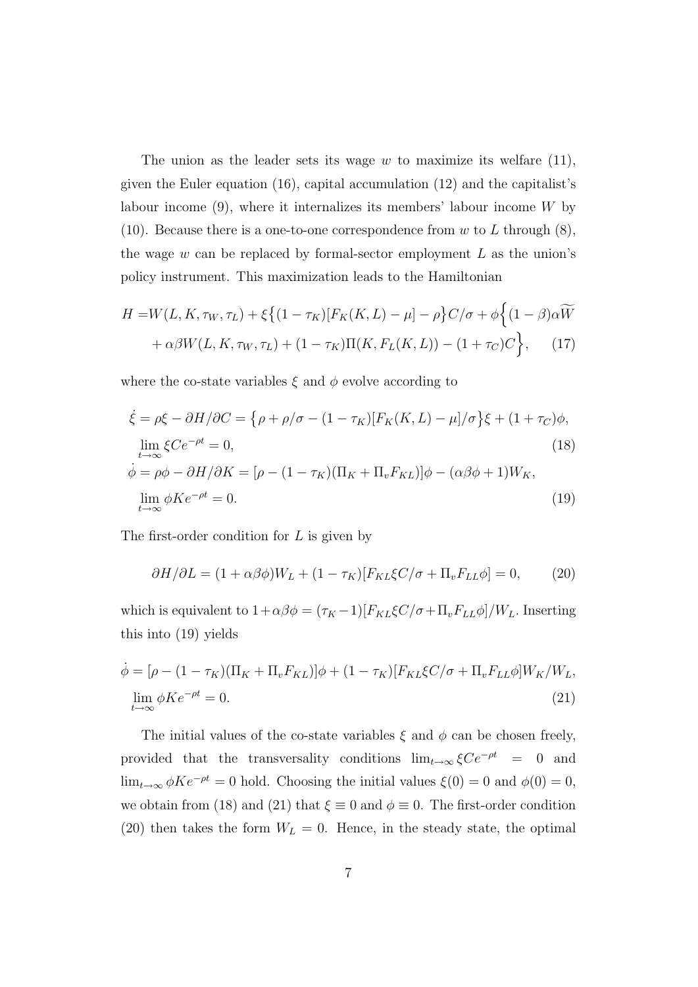The union as the leader sets its wage  $w$  to maximize its welfare  $(11)$ , given the Euler equation (16), capital accumulation (12) and the capitalist's labour income  $(9)$ , where it internalizes its members' labour income W by (10). Because there is a one-to-one correspondence from w to L through  $(8)$ , the wage  $w$  can be replaced by formal-sector employment  $L$  as the union's policy instrument. This maximization leads to the Hamiltonian

$$
H = W(L, K, \tau_W, \tau_L) + \xi \{ (1 - \tau_K) [F_K(K, L) - \mu] - \rho \} C/\sigma + \phi \{ (1 - \beta) \alpha \widetilde{W} + \alpha \beta W(L, K, \tau_W, \tau_L) + (1 - \tau_K) \Pi(K, F_L(K, L)) - (1 + \tau_C) C \}, \quad (17)
$$

where the co-state variables  $\xi$  and  $\phi$  evolve according to

$$
\dot{\xi} = \rho \xi - \partial H / \partial C = \{ \rho + \rho / \sigma - (1 - \tau_K) [F_K(K, L) - \mu] / \sigma \} \xi + (1 + \tau_C) \phi,
$$
  
\n
$$
\lim_{t \to \infty} \xi C e^{-\rho t} = 0,
$$
\n(18)  
\n
$$
\dot{\phi} = \rho \phi - \partial H / \partial K = [\rho - (1 - \tau_K) (\Pi_K + \Pi_v F_{KL})] \phi - (\alpha \beta \phi + 1) W_K,
$$
  
\n
$$
\lim_{t \to \infty} \phi K e^{-\rho t} = 0.
$$
\n(19)

The first-order condition for L is given by

$$
\partial H/\partial L = (1 + \alpha \beta \phi)W_L + (1 - \tau_K)[F_{KL}\xi C/\sigma + \Pi_v F_{LL}\phi] = 0, \qquad (20)
$$

which is equivalent to  $1+\alpha\beta\phi = (\tau_K - 1)[F_{KL}\xi C/\sigma + \Pi_v F_{LL}\phi]/W_L$ . Inserting this into (19) yields

$$
\dot{\phi} = [\rho - (1 - \tau_K)(\Pi_K + \Pi_v F_{KL})]\phi + (1 - \tau_K)[F_{KL}\xi C/\sigma + \Pi_v F_{LL}\phi]W_K/W_L,
$$
  

$$
\lim_{t \to \infty} \phi K e^{-\rho t} = 0.
$$
\n(21)

The initial values of the co-state variables  $\xi$  and  $\phi$  can be chosen freely, provided that the transversality conditions  $\lim_{t\to\infty}\xi C e^{-\rho t} = 0$  and  $\lim_{t\to\infty}\phi Ke^{-\rho t}=0$  hold. Choosing the initial values  $\xi(0)=0$  and  $\phi(0)=0$ , we obtain from (18) and (21) that  $\xi \equiv 0$  and  $\phi \equiv 0$ . The first-order condition (20) then takes the form  $W_L = 0$ . Hence, in the steady state, the optimal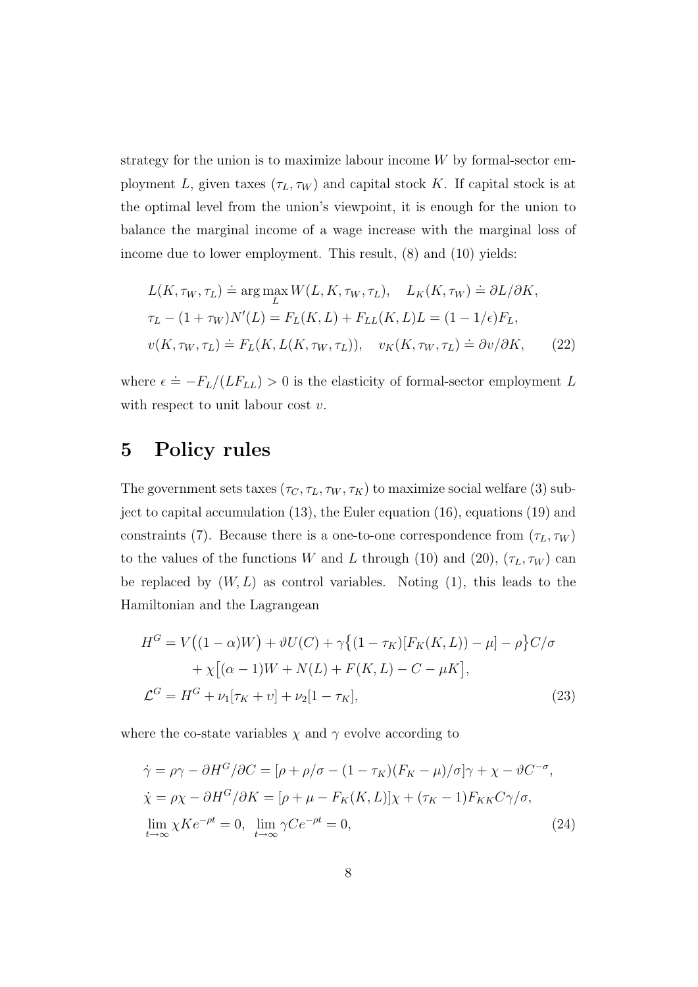strategy for the union is to maximize labour income  $W$  by formal-sector employment L, given taxes  $(\tau_L, \tau_W)$  and capital stock K. If capital stock is at the optimal level from the union's viewpoint, it is enough for the union to balance the marginal income of a wage increase with the marginal loss of income due to lower employment. This result, (8) and (10) yields:

$$
L(K, \tau_W, \tau_L) \doteq \underset{L}{\arg \max} W(L, K, \tau_W, \tau_L), \quad L_K(K, \tau_W) \doteq \partial L/\partial K,
$$
  
\n
$$
\tau_L - (1 + \tau_W)N'(L) = F_L(K, L) + F_{LL}(K, L)L = (1 - 1/\epsilon)F_L,
$$
  
\n
$$
v(K, \tau_W, \tau_L) \doteq F_L(K, L(K, \tau_W, \tau_L)), \quad v_K(K, \tau_W, \tau_L) \doteq \partial v/\partial K,
$$
 (22)

where  $\epsilon = -F_L/(LF_{LL}) > 0$  is the elasticity of formal-sector employment L with respect to unit labour cost  $v$ .

#### 5 Policy rules

The government sets taxes  $(\tau_C, \tau_L, \tau_W, \tau_K)$  to maximize social welfare (3) subject to capital accumulation (13), the Euler equation (16), equations (19) and constraints (7). Because there is a one-to-one correspondence from  $(\tau_L, \tau_W)$ to the values of the functions W and L through (10) and (20),  $(\tau_L, \tau_W)$  can be replaced by  $(W, L)$  as control variables. Noting  $(1)$ , this leads to the Hamiltonian and the Lagrangean

$$
H^{G} = V((1 - \alpha)W) + \vartheta U(C) + \gamma \{(1 - \tau_{K})[F_{K}(K, L)) - \mu] - \rho\}C/\sigma
$$
  
+  $\chi [(\alpha - 1)W + N(L) + F(K, L) - C - \mu K],$   

$$
\mathcal{L}^{G} = H^{G} + \nu_{1}[\tau_{K} + \nu] + \nu_{2}[1 - \tau_{K}],
$$
(23)

where the co-state variables  $\chi$  and  $\gamma$  evolve according to

$$
\dot{\gamma} = \rho \gamma - \partial H^G / \partial C = [\rho + \rho/\sigma - (1 - \tau_K)(F_K - \mu)/\sigma] \gamma + \chi - \vartheta C^{-\sigma},
$$
  
\n
$$
\dot{\chi} = \rho \chi - \partial H^G / \partial K = [\rho + \mu - F_K(K, L)] \chi + (\tau_K - 1) F_{KK} C \gamma / \sigma,
$$
  
\n
$$
\lim_{t \to \infty} \chi K e^{-\rho t} = 0, \quad \lim_{t \to \infty} \gamma C e^{-\rho t} = 0,
$$
\n(24)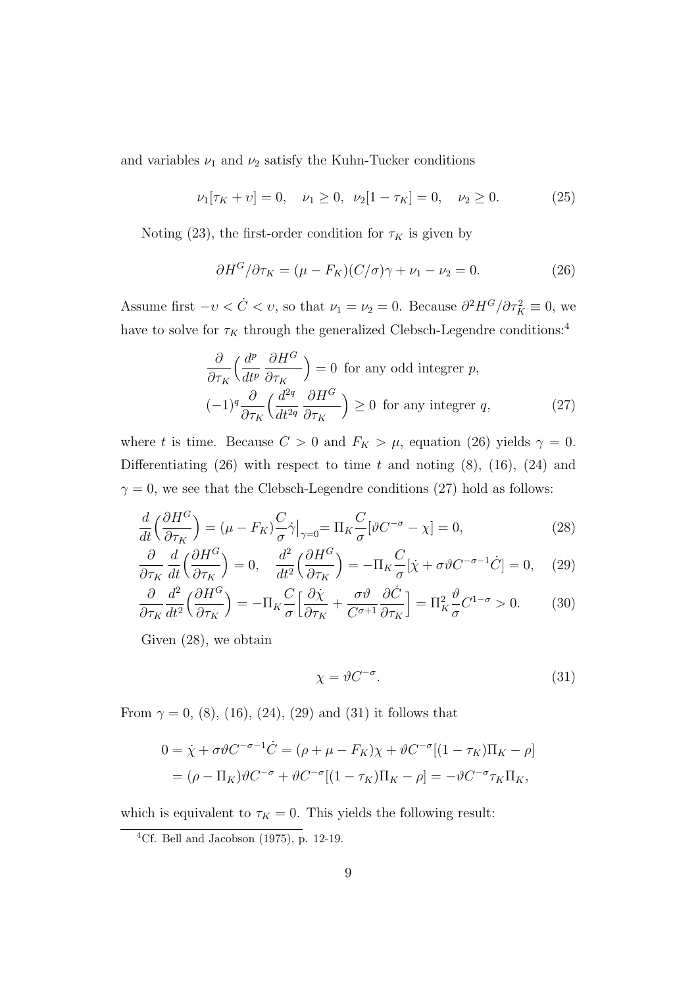and variables  $\nu_1$  and  $\nu_2$  satisfy the Kuhn-Tucker conditions

$$
\nu_1[\tau_K + \nu] = 0, \quad \nu_1 \ge 0, \quad \nu_2[1 - \tau_K] = 0, \quad \nu_2 \ge 0. \tag{25}
$$

Noting (23), the first-order condition for  $\tau_K$  is given by

$$
\partial H^G / \partial \tau_K = (\mu - F_K)(C/\sigma) \gamma + \nu_1 - \nu_2 = 0. \tag{26}
$$

Assume first  $-v < \dot{C} < v$ , so that  $\nu_1 = \nu_2 = 0$ . Because  $\partial^2 H^G / \partial \tau_K^2 \equiv 0$ , we have to solve for  $\tau_K$  through the generalized Clebsch-Legendre conditions:<sup>4</sup>

$$
\frac{\partial}{\partial \tau_K} \left( \frac{d^p}{dt^p} \frac{\partial H^G}{\partial \tau_K} \right) = 0 \text{ for any odd integer } p,
$$
\n
$$
(-1)^q \frac{\partial}{\partial \tau_K} \left( \frac{d^{2q}}{dt^{2q}} \frac{\partial H^G}{\partial \tau_K} \right) \ge 0 \text{ for any integer } q,
$$
\n(27)

where t is time. Because  $C > 0$  and  $F_K > \mu$ , equation (26) yields  $\gamma = 0$ . Differentiating  $(26)$  with respect to time t and noting  $(8)$ ,  $(16)$ ,  $(24)$  and  $\gamma = 0$ , we see that the Clebsch-Legendre conditions (27) hold as follows:

$$
\frac{d}{dt}\left(\frac{\partial H^G}{\partial \tau_K}\right) = (\mu - F_K) \frac{C}{\sigma} \dot{\gamma}\big|_{\gamma=0} = \Pi_K \frac{C}{\sigma} [\vartheta C^{-\sigma} - \chi] = 0,\tag{28}
$$

$$
\frac{\partial}{\partial \tau_K} \frac{d}{dt} \left( \frac{\partial H^G}{\partial \tau_K} \right) = 0, \quad \frac{d^2}{dt^2} \left( \frac{\partial H^G}{\partial \tau_K} \right) = -\Pi_K \frac{C}{\sigma} [\dot{\chi} + \sigma \vartheta C^{-\sigma - 1} \dot{C}] = 0, \quad (29)
$$

$$
\frac{\partial}{\partial \tau_K} \frac{d^2}{dt^2} \left( \frac{\partial H^G}{\partial \tau_K} \right) = -\Pi_K \frac{C}{\sigma} \left[ \frac{\partial \dot{\chi}}{\partial \tau_K} + \frac{\sigma \vartheta}{C^{\sigma+1}} \frac{\partial \dot{C}}{\partial \tau_K} \right] = \Pi_K^2 \frac{\vartheta}{\sigma} C^{1-\sigma} > 0. \tag{30}
$$

Given (28), we obtain

$$
\chi = \vartheta C^{-\sigma}.\tag{31}
$$

From  $\gamma = 0$ , (8), (16), (24), (29) and (31) it follows that

$$
0 = \dot{\chi} + \sigma \vartheta C^{-\sigma - 1} \dot{C} = (\rho + \mu - F_K)\chi + \vartheta C^{-\sigma} [(1 - \tau_K)\Pi_K - \rho]
$$
  
= 
$$
(\rho - \Pi_K)\vartheta C^{-\sigma} + \vartheta C^{-\sigma} [(1 - \tau_K)\Pi_K - \rho] = -\vartheta C^{-\sigma} \tau_K \Pi_K,
$$

which is equivalent to  $\tau_K = 0$ . This yields the following result:

<sup>4</sup>Cf. Bell and Jacobson (1975), p. 12-19.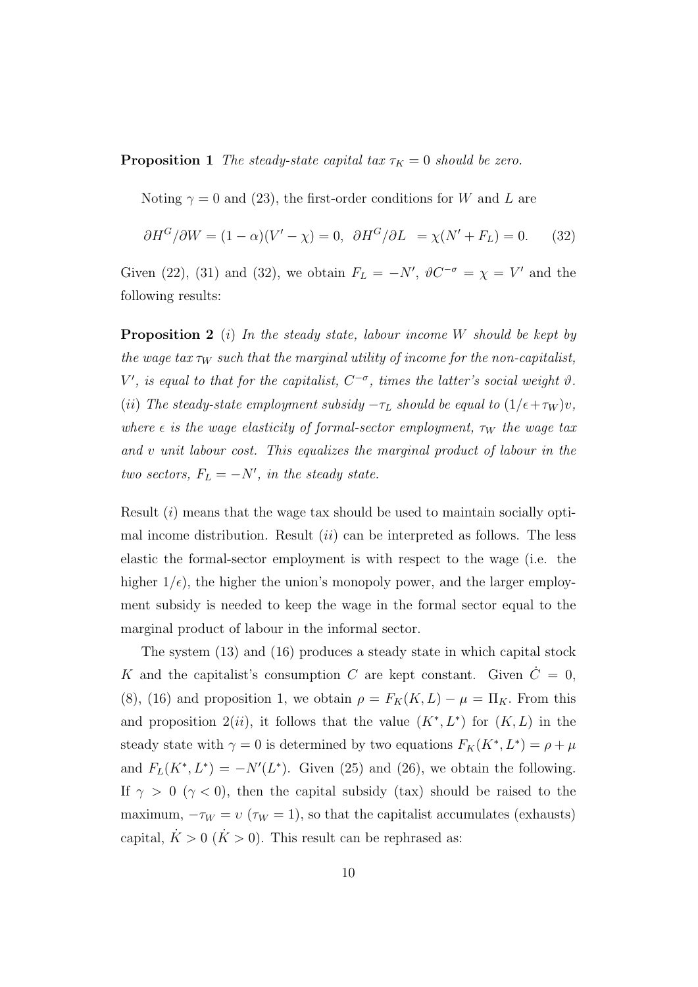**Proposition 1** The steady-state capital tax  $\tau_K = 0$  should be zero.

Noting  $\gamma = 0$  and (23), the first-order conditions for W and L are

$$
\partial H^G/\partial W = (1 - \alpha)(V' - \chi) = 0, \quad \partial H^G/\partial L = \chi(N' + F_L) = 0. \tag{32}
$$

Given (22), (31) and (32), we obtain  $F_L = -N'$ ,  $\vartheta C^{-\sigma} = \chi = V'$  and the following results:

**Proposition 2** (i) In the steady state, labour income W should be kept by the wage tax  $\tau_W$  such that the marginal utility of income for the non-capitalist, V', is equal to that for the capitalist,  $C^{-\sigma}$ , times the latter's social weight  $\vartheta$ . (ii) The steady-state employment subsidy  $-\tau_L$  should be equal to  $(1/\epsilon+\tau_W)v$ , where  $\epsilon$  is the wage elasticity of formal-sector employment,  $\tau_W$  the wage tax and v unit labour cost. This equalizes the marginal product of labour in the two sectors,  $F_L = -N'$ , in the steady state.

Result  $(i)$  means that the wage tax should be used to maintain socially optimal income distribution. Result  $(ii)$  can be interpreted as follows. The less elastic the formal-sector employment is with respect to the wage (i.e. the higher  $1/\epsilon$ , the higher the union's monopoly power, and the larger employment subsidy is needed to keep the wage in the formal sector equal to the marginal product of labour in the informal sector.

The system (13) and (16) produces a steady state in which capital stock K and the capitalist's consumption C are kept constant. Given  $\dot{C}=0$ , (8), (16) and proposition 1, we obtain  $\rho = F_K(K, L) - \mu = \Pi_K$ . From this and proposition  $2(ii)$ , it follows that the value  $(K^*, L^*)$  for  $(K, L)$  in the steady state with  $\gamma = 0$  is determined by two equations  $F_K(K^*, L^*) = \rho + \mu$ and  $F_L(K^*, L^*) = -N'(L^*)$ . Given (25) and (26), we obtain the following. If  $\gamma > 0$  ( $\gamma < 0$ ), then the capital subsidy (tax) should be raised to the maximum,  $-\tau_W = v \, (\tau_W = 1)$ , so that the capitalist accumulates (exhausts) capital,  $\dot{K} > 0$  ( $\dot{K} > 0$ ). This result can be rephrased as: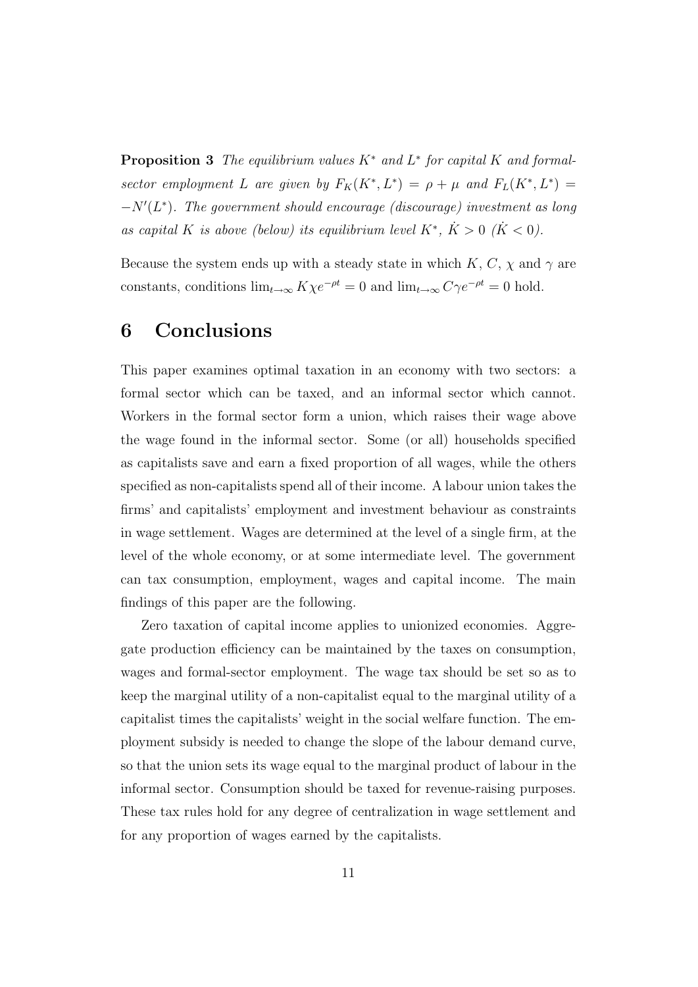**Proposition 3** The equilibrium values  $K^*$  and  $L^*$  for capital  $K$  and formalsector employment L are given by  $F_K(K^*, L^*) = \rho + \mu$  and  $F_L(K^*, L^*) =$  $-N'(L^*)$ . The government should encourage (discourage) investment as long as capital K is above (below) its equilibrium level  $K^*$ ,  $\dot{K} > 0$  ( $\dot{K} < 0$ ).

Because the system ends up with a steady state in which K, C,  $\chi$  and  $\gamma$  are constants, conditions  $\lim_{t\to\infty} K\chi e^{-\rho t} = 0$  and  $\lim_{t\to\infty} C\gamma e^{-\rho t} = 0$  hold.

#### 6 Conclusions

This paper examines optimal taxation in an economy with two sectors: a formal sector which can be taxed, and an informal sector which cannot. Workers in the formal sector form a union, which raises their wage above the wage found in the informal sector. Some (or all) households specified as capitalists save and earn a fixed proportion of all wages, while the others specified as non-capitalists spend all of their income. A labour union takes the firms' and capitalists' employment and investment behaviour as constraints in wage settlement. Wages are determined at the level of a single firm, at the level of the whole economy, or at some intermediate level. The government can tax consumption, employment, wages and capital income. The main findings of this paper are the following.

Zero taxation of capital income applies to unionized economies. Aggregate production efficiency can be maintained by the taxes on consumption, wages and formal-sector employment. The wage tax should be set so as to keep the marginal utility of a non-capitalist equal to the marginal utility of a capitalist times the capitalists' weight in the social welfare function. The employment subsidy is needed to change the slope of the labour demand curve, so that the union sets its wage equal to the marginal product of labour in the informal sector. Consumption should be taxed for revenue-raising purposes. These tax rules hold for any degree of centralization in wage settlement and for any proportion of wages earned by the capitalists.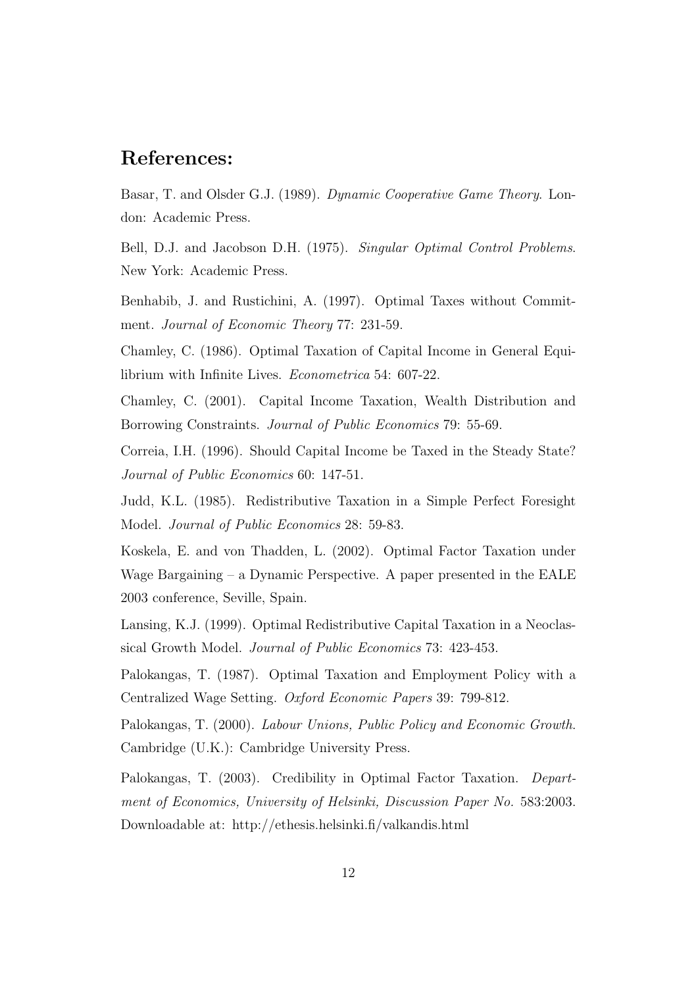#### References:

Basar, T. and Olsder G.J. (1989). Dynamic Cooperative Game Theory. London: Academic Press.

Bell, D.J. and Jacobson D.H. (1975). Singular Optimal Control Problems. New York: Academic Press.

Benhabib, J. and Rustichini, A. (1997). Optimal Taxes without Commitment. *Journal of Economic Theory* 77: 231-59.

Chamley, C. (1986). Optimal Taxation of Capital Income in General Equilibrium with Infinite Lives. Econometrica 54: 607-22.

Chamley, C. (2001). Capital Income Taxation, Wealth Distribution and Borrowing Constraints. Journal of Public Economics 79: 55-69.

Correia, I.H. (1996). Should Capital Income be Taxed in the Steady State? Journal of Public Economics 60: 147-51.

Judd, K.L. (1985). Redistributive Taxation in a Simple Perfect Foresight Model. Journal of Public Economics 28: 59-83.

Koskela, E. and von Thadden, L. (2002). Optimal Factor Taxation under Wage Bargaining – a Dynamic Perspective. A paper presented in the  $EALE$ 2003 conference, Seville, Spain.

Lansing, K.J. (1999). Optimal Redistributive Capital Taxation in a Neoclassical Growth Model. Journal of Public Economics 73: 423-453.

Palokangas, T. (1987). Optimal Taxation and Employment Policy with a Centralized Wage Setting. Oxford Economic Papers 39: 799-812.

Palokangas, T. (2000). Labour Unions, Public Policy and Economic Growth. Cambridge (U.K.): Cambridge University Press.

Palokangas, T. (2003). Credibility in Optimal Factor Taxation. Department of Economics, University of Helsinki, Discussion Paper No. 583:2003. Downloadable at: http://ethesis.helsinki.fi/valkandis.html